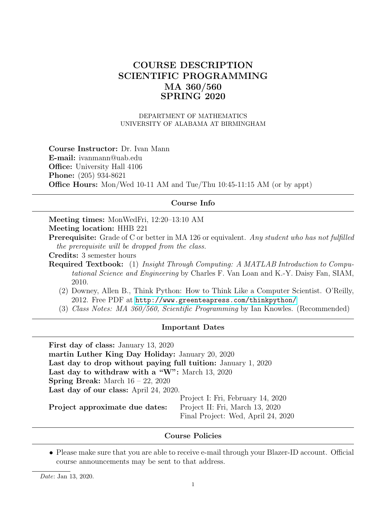# COURSE DESCRIPTION SCIENTIFIC PROGRAMMING MA 360/560 SPRING 2020

DEPARTMENT OF MATHEMATICS UNIVERSITY OF ALABAMA AT BIRMINGHAM

Course Instructor: Dr. Ivan Mann E-mail: ivanmann@uab.edu Office: University Hall 4106 Phone: (205) 934-8621 Office Hours: Mon/Wed 10-11 AM and Tue/Thu 10:45-11:15 AM (or by appt)

#### Course Info

Meeting times: MonWedFri, 12:20–13:10 AM Meeting location: HHB 221

Prerequisite: Grade of C or better in MA 126 or equivalent. Any student who has not fulfilled the prerequisite will be dropped from the class.

Credits: 3 semester hours

Required Textbook: (1) Insight Through Computing: A MATLAB Introduction to Computational Science and Engineering by Charles F. Van Loan and K.-Y. Daisy Fan, SIAM, 2010.

- (2) Downey, Allen B., Think Python: How to Think Like a Computer Scientist. O'Reilly, 2012. Free PDF at <http://www.greenteapress.com/thinkpython/>
- (3) Class Notes: MA 360/560, Scientific Programming by Ian Knowles. (Recommended)

#### Important Dates

First day of class: January 13, 2020 martin Luther King Day Holiday: January 20, 2020 Last day to drop without paying full tuition: January 1, 2020 Last day to withdraw with a "W": March 13, 2020 Spring Break: March 16 – 22, 2020 Last day of our class: April 24, 2020. Project approximate due dates: Project I: Fri, February 14, 2020 Project II: Fri, March 13, 2020 Final Project: Wed, April 24, 2020

### Course Policies

• Please make sure that you are able to receive e-mail through your Blazer-ID account. Official course announcements may be sent to that address.

Date: Jan 13, 2020.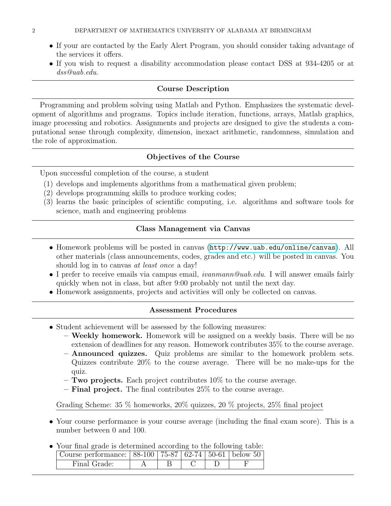- If your are contacted by the Early Alert Program, you should consider taking advantage of the services it offers.
- If you wish to request a disability accommodation please contact DSS at 934-4205 or at dss@uab.edu.

### Course Description

Programming and problem solving using Matlab and Python. Emphasizes the systematic development of algorithms and programs. Topics include iteration, functions, arrays, Matlab graphics, image processing and robotics. Assignments and projects are designed to give the students a computational sense through complexity, dimension, inexact arithmetic, randomness, simulation and the role of approximation.

# Objectives of the Course

Upon successful completion of the course, a student

- (1) develops and implements algorithms from a mathematical given problem;
- (2) develops programming skills to produce working codes;
- (3) learns the basic principles of scientific computing, i.e. algorithms and software tools for science, math and engineering problems

# Class Management via Canvas

- Homework problems will be posted in canvas (<http://www.uab.edu/online/canvas>). All other materials (class announcements, codes, grades and etc.) will be posted in canvas. You should log in to canvas at least once a day!
- I prefer to receive emails via campus email, *ivanmann@uab.edu*. I will answer emails fairly quickly when not in class, but after 9:00 probably not until the next day.
- Homework assignments, projects and activities will only be collected on canvas.

### Assessment Procedures

- Student achievement will be assessed by the following measures:
	- Weekly homework. Homework will be assigned on a weekly basis. There will be no extension of deadlines for any reason. Homework contributes 35% to the course average.
	- Announced quizzes. Quiz problems are similar to the homework problem sets. Quizzes contribute 20% to the course average. There will be no make-ups for the quiz.
	- $-$  Two projects. Each project contributes 10% to the course average.
	- $-$  Final project. The final contributes 25% to the course average.

Grading Scheme: 35 % homeworks, 20% quizzes, 20 % projects, 25% final project

- Your course performance is your course average (including the final exam score). This is a number between 0 and 100.
- Your final grade is determined according to the following table:

| Course performance:   88-100   75-87   62-74   50-61   below 50 |  |  |  |
|-----------------------------------------------------------------|--|--|--|
| Final Grade:                                                    |  |  |  |